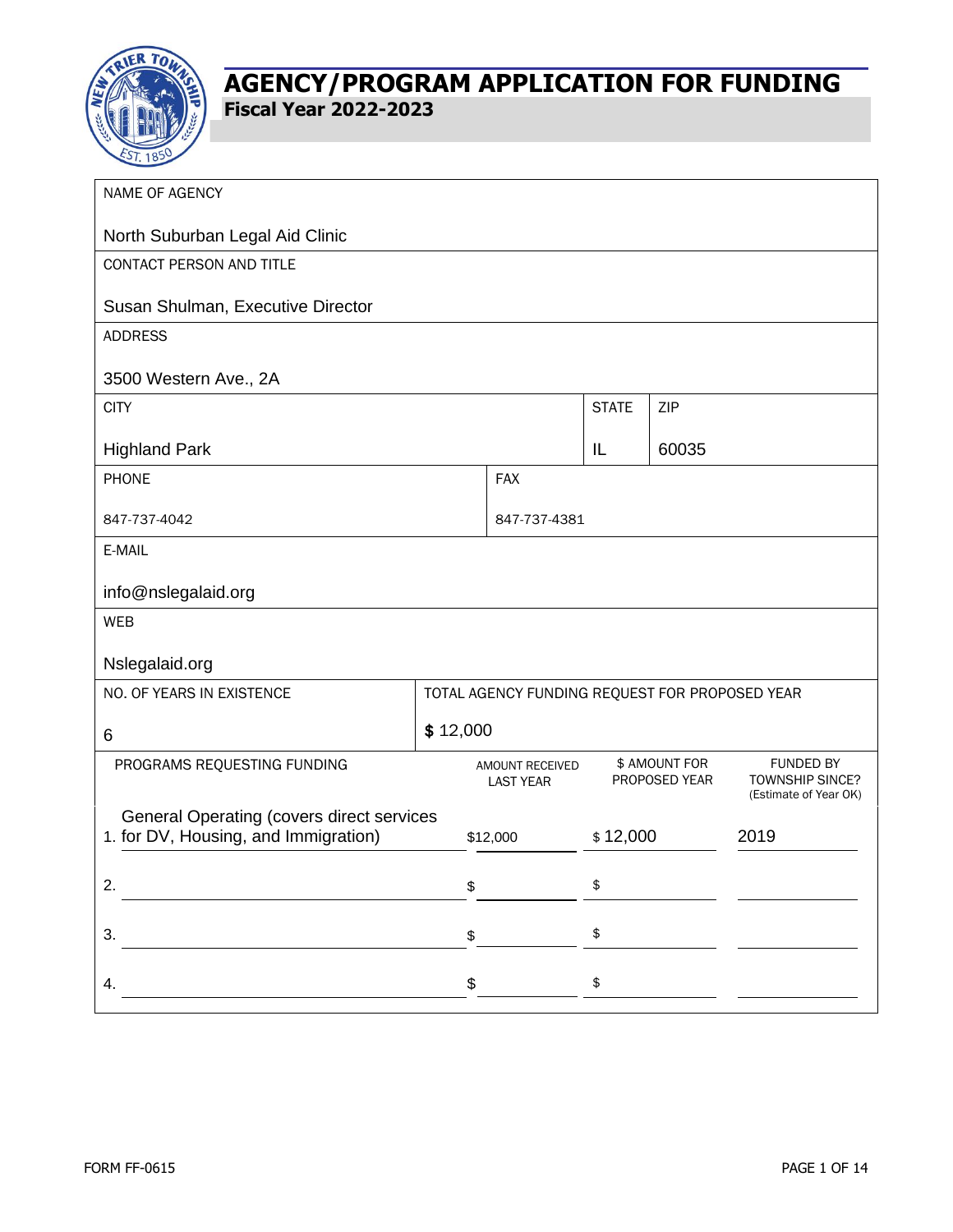

| NAME OF AGENCY                                                                           |    |                                     |              |                                |                                                                     |
|------------------------------------------------------------------------------------------|----|-------------------------------------|--------------|--------------------------------|---------------------------------------------------------------------|
| North Suburban Legal Aid Clinic                                                          |    |                                     |              |                                |                                                                     |
| CONTACT PERSON AND TITLE                                                                 |    |                                     |              |                                |                                                                     |
| Susan Shulman, Executive Director                                                        |    |                                     |              |                                |                                                                     |
| <b>ADDRESS</b>                                                                           |    |                                     |              |                                |                                                                     |
| 3500 Western Ave., 2A                                                                    |    |                                     |              |                                |                                                                     |
| <b>CITY</b>                                                                              |    |                                     | <b>STATE</b> | ZIP                            |                                                                     |
| <b>Highland Park</b>                                                                     |    |                                     | IL           | 60035                          |                                                                     |
| PHONE                                                                                    |    |                                     |              |                                |                                                                     |
| 847-737-4042                                                                             |    |                                     | 847-737-4381 |                                |                                                                     |
| E-MAIL                                                                                   |    |                                     |              |                                |                                                                     |
| info@nslegalaid.org                                                                      |    |                                     |              |                                |                                                                     |
| <b>WEB</b>                                                                               |    |                                     |              |                                |                                                                     |
| Nslegalaid.org                                                                           |    |                                     |              |                                |                                                                     |
| NO. OF YEARS IN EXISTENCE<br>TOTAL AGENCY FUNDING REQUEST FOR PROPOSED YEAR              |    |                                     |              |                                |                                                                     |
| \$12,000<br>6                                                                            |    |                                     |              |                                |                                                                     |
| PROGRAMS REQUESTING FUNDING                                                              |    | AMOUNT RECEIVED<br><b>LAST YEAR</b> |              | \$ AMOUNT FOR<br>PROPOSED YEAR | <b>FUNDED BY</b><br><b>TOWNSHIP SINCE?</b><br>(Estimate of Year OK) |
| <b>General Operating (covers direct services</b><br>1. for DV, Housing, and Immigration) |    | \$12,000                            | \$12,000     |                                | 2019                                                                |
| 2.                                                                                       | \$ |                                     | \$           |                                |                                                                     |
| 3.                                                                                       | \$ |                                     | \$           |                                |                                                                     |
| 4.                                                                                       | \$ |                                     | \$           |                                |                                                                     |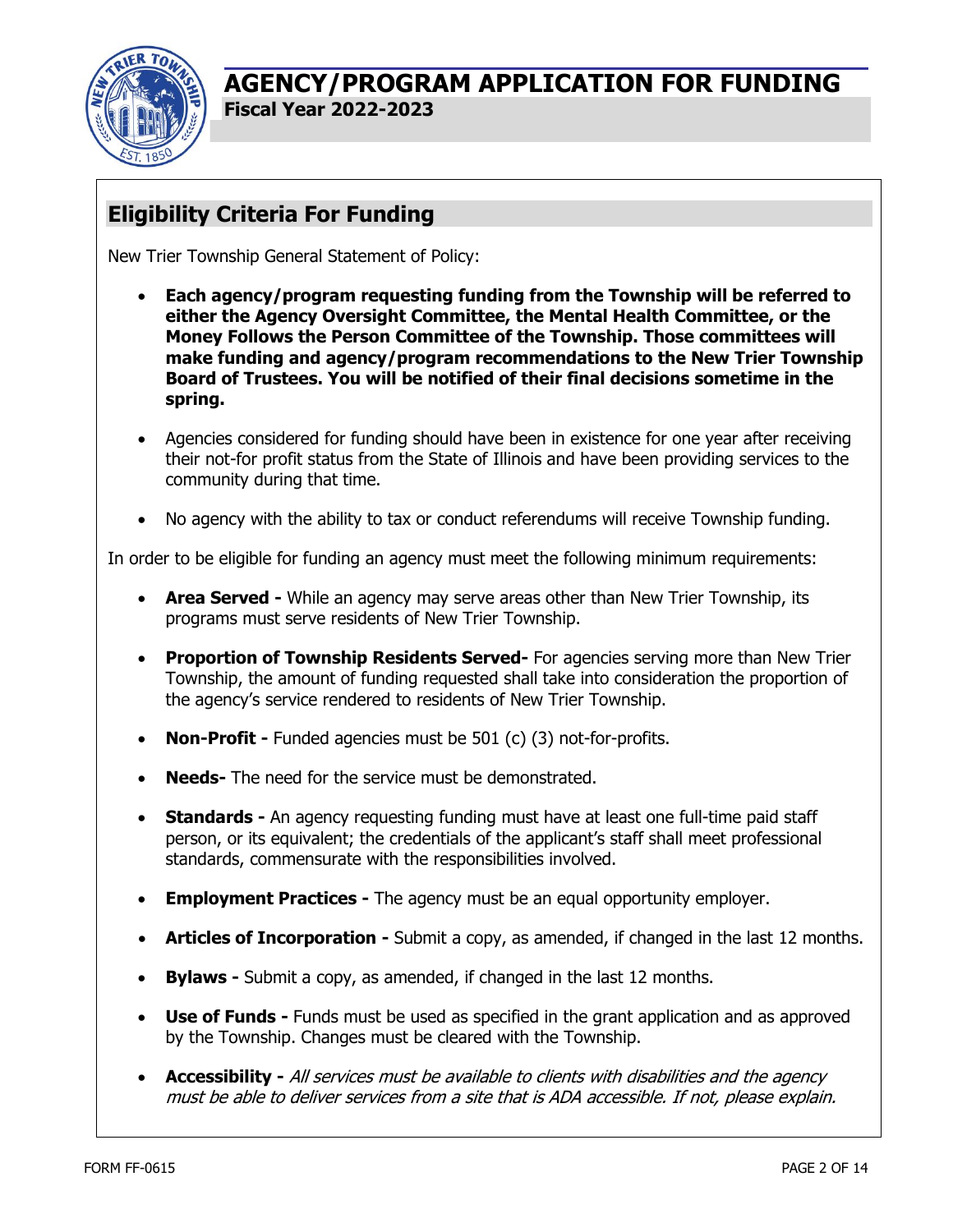

# **Eligibility Criteria For Funding**

New Trier Township General Statement of Policy:

- **Each agency/program requesting funding from the Township will be referred to either the Agency Oversight Committee, the Mental Health Committee, or the Money Follows the Person Committee of the Township. Those committees will make funding and agency/program recommendations to the New Trier Township Board of Trustees. You will be notified of their final decisions sometime in the spring.**
- Agencies considered for funding should have been in existence for one year after receiving their not-for profit status from the State of Illinois and have been providing services to the community during that time.
- No agency with the ability to tax or conduct referendums will receive Township funding.

In order to be eligible for funding an agency must meet the following minimum requirements:

- **Area Served** While an agency may serve areas other than New Trier Township, its programs must serve residents of New Trier Township.
- **Proportion of Township Residents Served-** For agencies serving more than New Trier Township, the amount of funding requested shall take into consideration the proportion of the agency's service rendered to residents of New Trier Township.
- **Non-Profit -** Funded agencies must be 501 (c) (3) not-for-profits.
- **Needs-** The need for the service must be demonstrated.
- **Standards** An agency requesting funding must have at least one full-time paid staff person, or its equivalent; the credentials of the applicant's staff shall meet professional standards, commensurate with the responsibilities involved.
- **Employment Practices -** The agency must be an equal opportunity employer.
- **Articles of Incorporation -** Submit a copy, as amended, if changed in the last 12 months.
- **Bylaws** Submit a copy, as amended, if changed in the last 12 months.
- **Use of Funds -** Funds must be used as specified in the grant application and as approved by the Township. Changes must be cleared with the Township.
- **Accessibility -** All services must be available to clients with disabilities and the agency must be able to deliver services from a site that is ADA accessible. If not, please explain.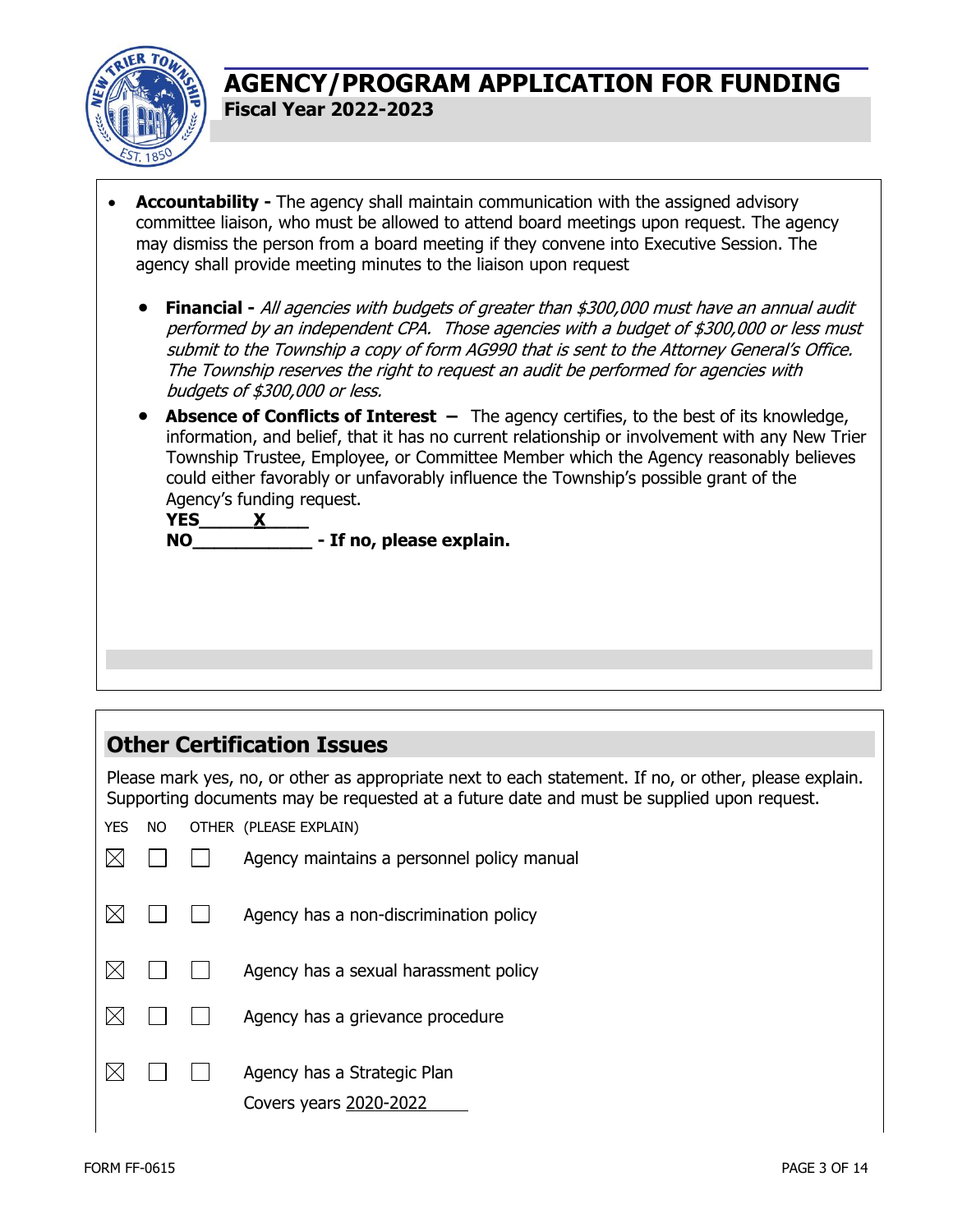

- **Accountability -** The agency shall maintain communication with the assigned advisory committee liaison, who must be allowed to attend board meetings upon request. The agency may dismiss the person from a board meeting if they convene into Executive Session. The agency shall provide meeting minutes to the liaison upon request
	- **Financial -** All agencies with budgets of greater than \$300,000 must have an annual audit performed by an independent CPA. Those agencies with a budget of \$300,000 or less must submit to the Township a copy of form AG990 that is sent to the Attorney General's Office. The Township reserves the right to request an audit be performed for agencies with budgets of \$300,000 or less.
	- **Absence of Conflicts of Interest** The agency certifies, to the best of its knowledge, information, and belief, that it has no current relationship or involvement with any New Trier Township Trustee, Employee, or Committee Member which the Agency reasonably believes could either favorably or unfavorably influence the Township's possible grant of the Agency's funding request.

**YES\_\_\_\_\_X\_\_\_\_ NO\_\_\_\_\_\_\_\_\_\_\_ - If no, please explain.**

## **Other Certification Issues**

Please mark yes, no, or other as appropriate next to each statement. If no, or other, please explain. Supporting documents may be requested at a future date and must be supplied upon request.

YES NO OTHER (PLEASE EXPLAIN)

|  | Agency maintains a personnel policy manual            |
|--|-------------------------------------------------------|
|  | Agency has a non-discrimination policy                |
|  | Agency has a sexual harassment policy                 |
|  | Agency has a grievance procedure                      |
|  | Agency has a Strategic Plan<br>Covers years 2020-2022 |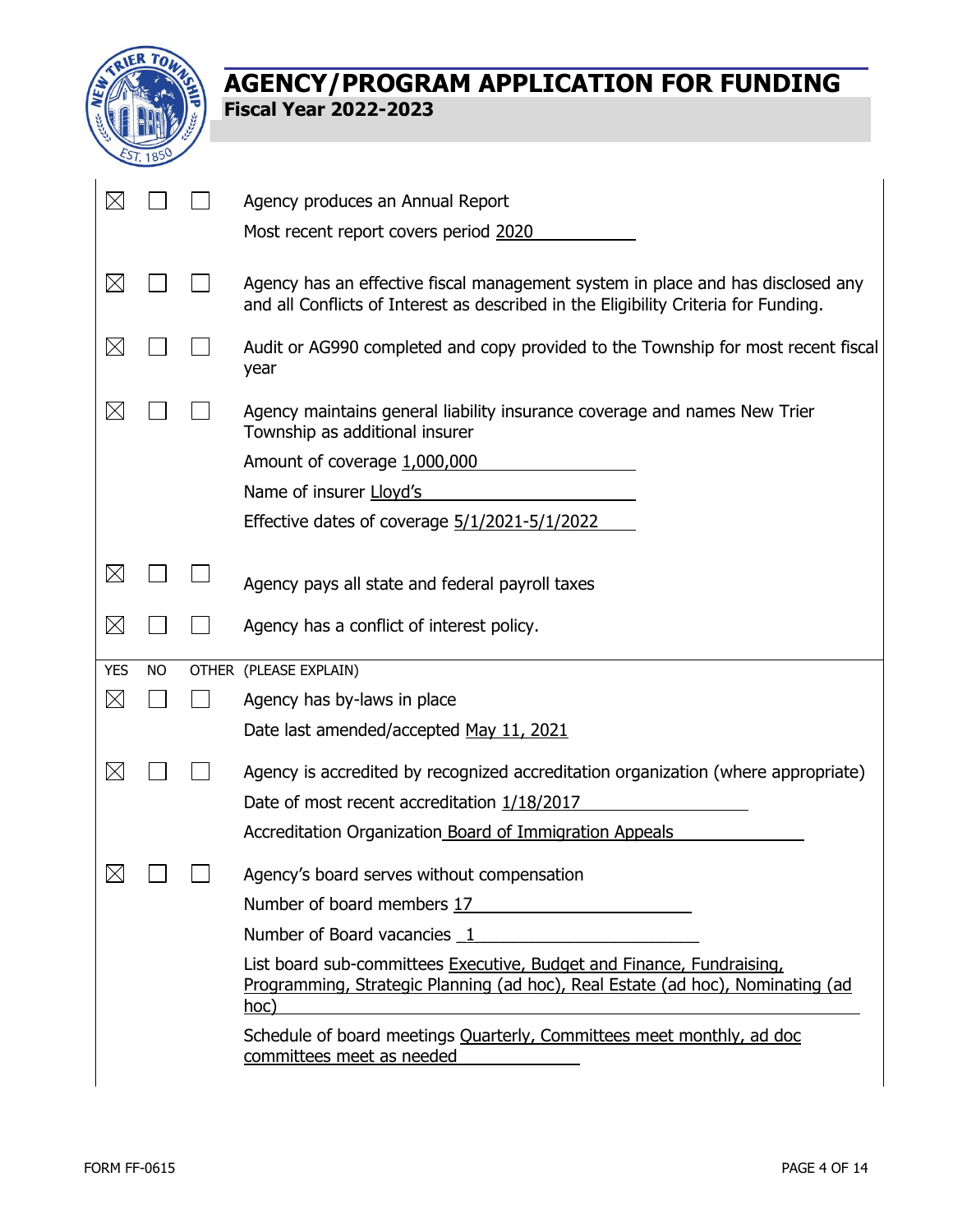

| $\boxtimes$ |           | Agency produces an Annual Report                                                                                                                                       |
|-------------|-----------|------------------------------------------------------------------------------------------------------------------------------------------------------------------------|
|             |           | Most recent report covers period 2020                                                                                                                                  |
| $\boxtimes$ |           | Agency has an effective fiscal management system in place and has disclosed any<br>and all Conflicts of Interest as described in the Eligibility Criteria for Funding. |
| $\boxtimes$ |           | Audit or AG990 completed and copy provided to the Township for most recent fiscal<br>year                                                                              |
| $\boxtimes$ |           | Agency maintains general liability insurance coverage and names New Trier<br>Township as additional insurer                                                            |
|             |           | Amount of coverage 1,000,000                                                                                                                                           |
|             |           | Name of insurer Lloyd's                                                                                                                                                |
|             |           | Effective dates of coverage 5/1/2021-5/1/2022                                                                                                                          |
|             |           |                                                                                                                                                                        |
| $\boxtimes$ |           | Agency pays all state and federal payroll taxes                                                                                                                        |
| $\boxtimes$ |           | Agency has a conflict of interest policy.                                                                                                                              |
| <b>YES</b>  | <b>NO</b> | OTHER (PLEASE EXPLAIN)                                                                                                                                                 |
| $\boxtimes$ |           | Agency has by-laws in place                                                                                                                                            |
|             |           | Date last amended/accepted May 11, 2021                                                                                                                                |
| $\boxtimes$ |           | Agency is accredited by recognized accreditation organization (where appropriate)                                                                                      |
|             |           | Date of most recent accreditation 1/18/2017                                                                                                                            |
|             |           | Accreditation Organization Board of Immigration Appeals                                                                                                                |
| $\boxtimes$ |           | Agency's board serves without compensation                                                                                                                             |
|             |           | Number of board members 17                                                                                                                                             |
|             |           | Number of Board vacancies 1                                                                                                                                            |
|             |           |                                                                                                                                                                        |
|             |           |                                                                                                                                                                        |
|             |           | List board sub-committees Executive, Budget and Finance, Fundraising,<br>Programming, Strategic Planning (ad hoc), Real Estate (ad hoc), Nominating (ad<br>hoc)        |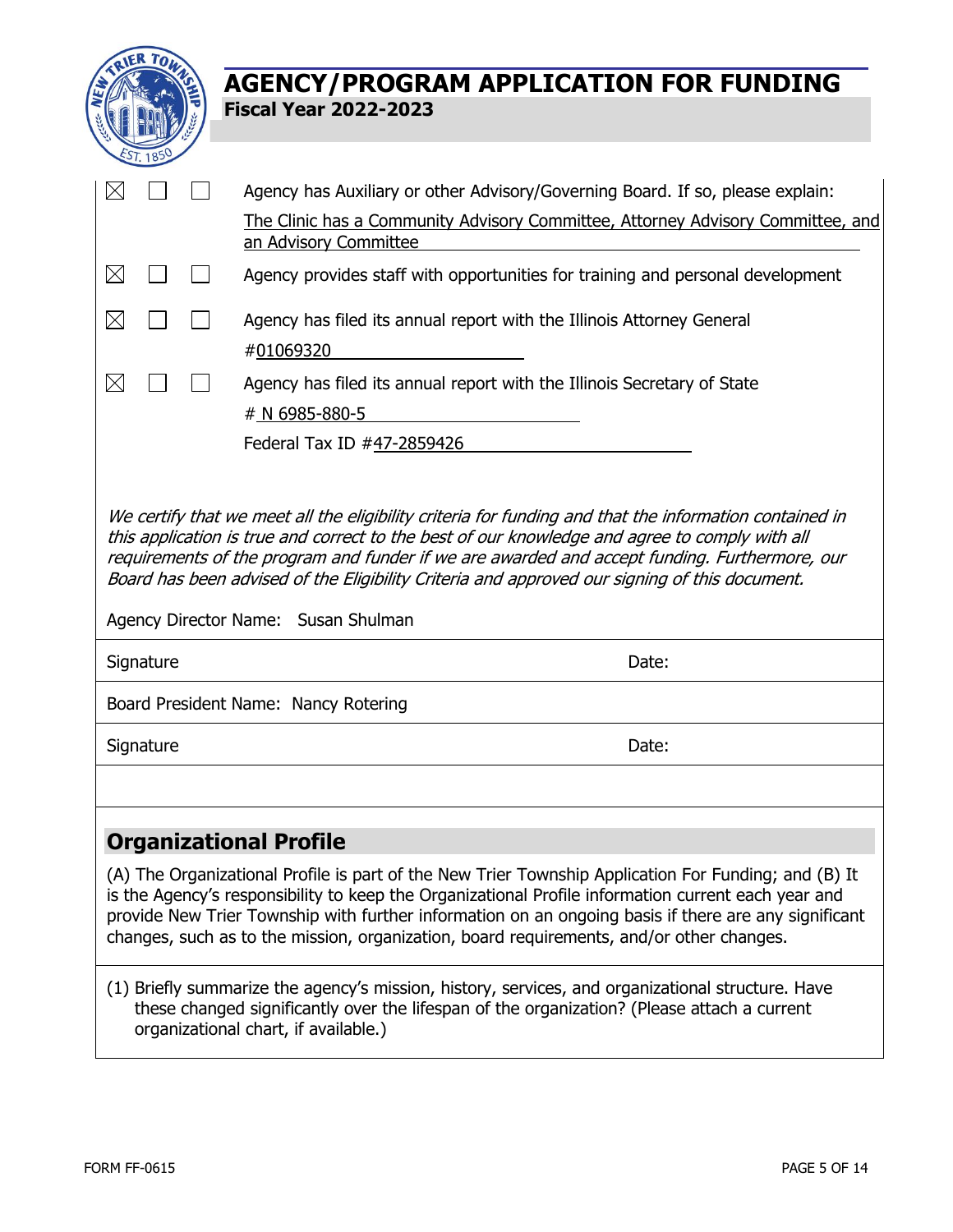

| $\boxtimes$                                                                                                                                                                                                                                                                                                                             |           |  | Agency has Auxiliary or other Advisory/Governing Board. If so, please explain:                                                                                                                                                                                                                                                                                                                                  |  |  |
|-----------------------------------------------------------------------------------------------------------------------------------------------------------------------------------------------------------------------------------------------------------------------------------------------------------------------------------------|-----------|--|-----------------------------------------------------------------------------------------------------------------------------------------------------------------------------------------------------------------------------------------------------------------------------------------------------------------------------------------------------------------------------------------------------------------|--|--|
|                                                                                                                                                                                                                                                                                                                                         |           |  | The Clinic has a Community Advisory Committee, Attorney Advisory Committee, and<br>an Advisory Committee                                                                                                                                                                                                                                                                                                        |  |  |
|                                                                                                                                                                                                                                                                                                                                         |           |  |                                                                                                                                                                                                                                                                                                                                                                                                                 |  |  |
| $\boxtimes$                                                                                                                                                                                                                                                                                                                             |           |  | Agency provides staff with opportunities for training and personal development                                                                                                                                                                                                                                                                                                                                  |  |  |
| $\boxtimes$                                                                                                                                                                                                                                                                                                                             |           |  | Agency has filed its annual report with the Illinois Attorney General                                                                                                                                                                                                                                                                                                                                           |  |  |
|                                                                                                                                                                                                                                                                                                                                         |           |  | #01069320                                                                                                                                                                                                                                                                                                                                                                                                       |  |  |
| $\boxtimes$                                                                                                                                                                                                                                                                                                                             |           |  | Agency has filed its annual report with the Illinois Secretary of State                                                                                                                                                                                                                                                                                                                                         |  |  |
|                                                                                                                                                                                                                                                                                                                                         |           |  | # N 6985-880-5                                                                                                                                                                                                                                                                                                                                                                                                  |  |  |
|                                                                                                                                                                                                                                                                                                                                         |           |  | Federal Tax ID #47-2859426                                                                                                                                                                                                                                                                                                                                                                                      |  |  |
|                                                                                                                                                                                                                                                                                                                                         |           |  |                                                                                                                                                                                                                                                                                                                                                                                                                 |  |  |
| this application is true and correct to the best of our knowledge and agree to comply with all<br>requirements of the program and funder if we are awarded and accept funding. Furthermore, our<br>Board has been advised of the Eligibility Criteria and approved our signing of this document.<br>Agency Director Name: Susan Shulman |           |  |                                                                                                                                                                                                                                                                                                                                                                                                                 |  |  |
|                                                                                                                                                                                                                                                                                                                                         | Signature |  | Date:                                                                                                                                                                                                                                                                                                                                                                                                           |  |  |
|                                                                                                                                                                                                                                                                                                                                         |           |  | Board President Name: Nancy Rotering                                                                                                                                                                                                                                                                                                                                                                            |  |  |
|                                                                                                                                                                                                                                                                                                                                         | Signature |  | Date:                                                                                                                                                                                                                                                                                                                                                                                                           |  |  |
|                                                                                                                                                                                                                                                                                                                                         |           |  |                                                                                                                                                                                                                                                                                                                                                                                                                 |  |  |
|                                                                                                                                                                                                                                                                                                                                         |           |  | <b>Organizational Profile</b>                                                                                                                                                                                                                                                                                                                                                                                   |  |  |
|                                                                                                                                                                                                                                                                                                                                         |           |  | (A) The Organizational Profile is part of the New Trier Township Application For Funding; and (B) It<br>is the Agency's responsibility to keep the Organizational Profile information current each year and<br>provide New Trier Township with further information on an ongoing basis if there are any significant<br>changes, such as to the mission, organization, board requirements, and/or other changes. |  |  |
|                                                                                                                                                                                                                                                                                                                                         |           |  |                                                                                                                                                                                                                                                                                                                                                                                                                 |  |  |

(1) Briefly summarize the agency's mission, history, services, and organizational structure. Have these changed significantly over the lifespan of the organization? (Please attach a current organizational chart, if available.)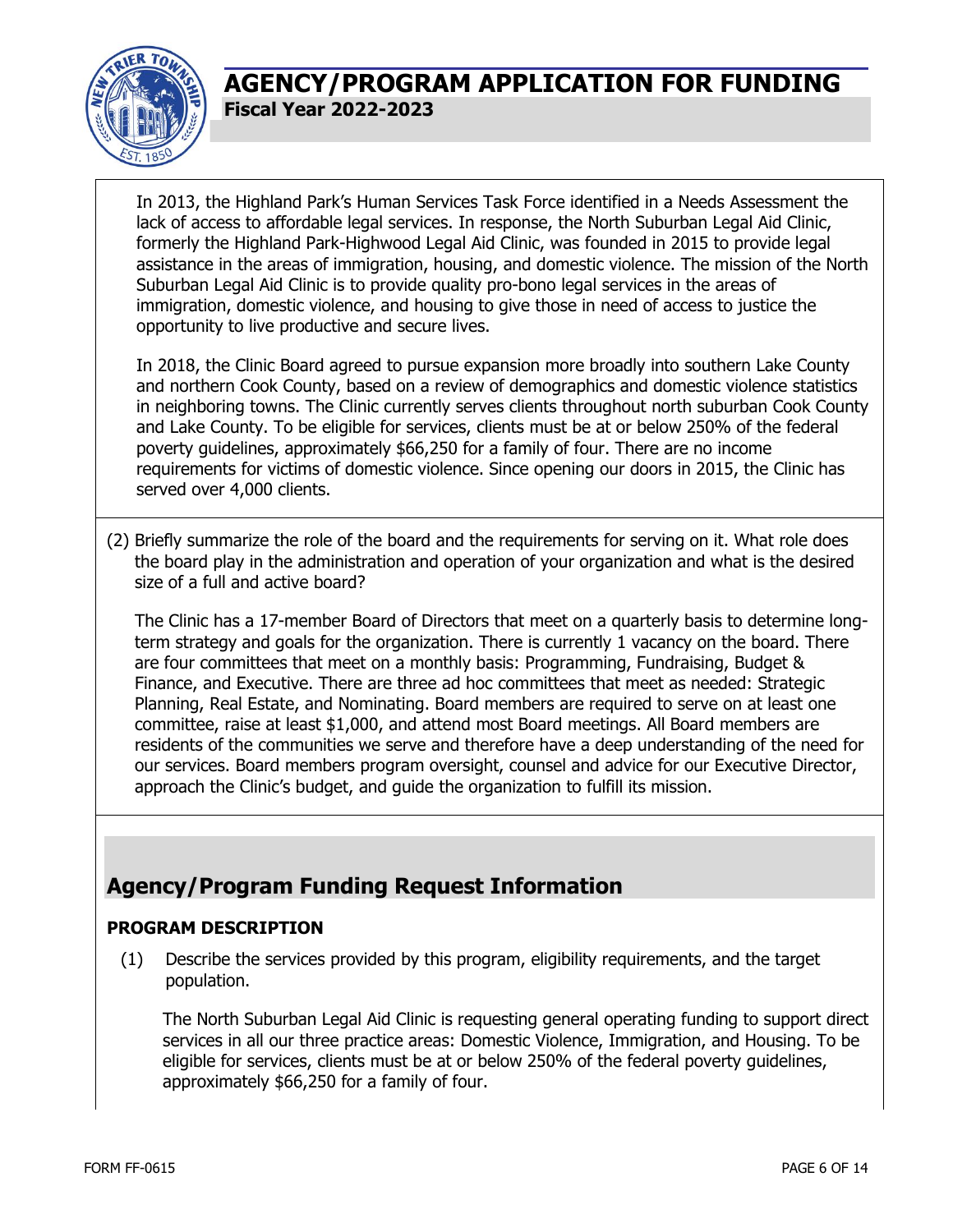

In 2013, the Highland Park's Human Services Task Force identified in a Needs Assessment the lack of access to affordable legal services. In response, the North Suburban Legal Aid Clinic, formerly the Highland Park-Highwood Legal Aid Clinic, was founded in 2015 to provide legal assistance in the areas of immigration, housing, and domestic violence. The mission of the North Suburban Legal Aid Clinic is to provide quality pro-bono legal services in the areas of immigration, domestic violence, and housing to give those in need of access to justice the opportunity to live productive and secure lives.

In 2018, the Clinic Board agreed to pursue expansion more broadly into southern Lake County and northern Cook County, based on a review of demographics and domestic violence statistics in neighboring towns. The Clinic currently serves clients throughout north suburban Cook County and Lake County. To be eligible for services, clients must be at or below 250% of the federal poverty guidelines, approximately \$66,250 for a family of four. There are no income requirements for victims of domestic violence. Since opening our doors in 2015, the Clinic has served over 4,000 clients.

(2) Briefly summarize the role of the board and the requirements for serving on it. What role does the board play in the administration and operation of your organization and what is the desired size of a full and active board?

The Clinic has a 17-member Board of Directors that meet on a quarterly basis to determine longterm strategy and goals for the organization. There is currently 1 vacancy on the board. There are four committees that meet on a monthly basis: Programming, Fundraising, Budget & Finance, and Executive. There are three ad hoc committees that meet as needed: Strategic Planning, Real Estate, and Nominating. Board members are required to serve on at least one committee, raise at least \$1,000, and attend most Board meetings. All Board members are residents of the communities we serve and therefore have a deep understanding of the need for our services. Board members program oversight, counsel and advice for our Executive Director, approach the Clinic's budget, and guide the organization to fulfill its mission.

## **Agency/Program Funding Request Information**

### **PROGRAM DESCRIPTION**

(1) Describe the services provided by this program, eligibility requirements, and the target population.

The North Suburban Legal Aid Clinic is requesting general operating funding to support direct services in all our three practice areas: Domestic Violence, Immigration, and Housing. To be eligible for services, clients must be at or below 250% of the federal poverty guidelines, approximately \$66,250 for a family of four.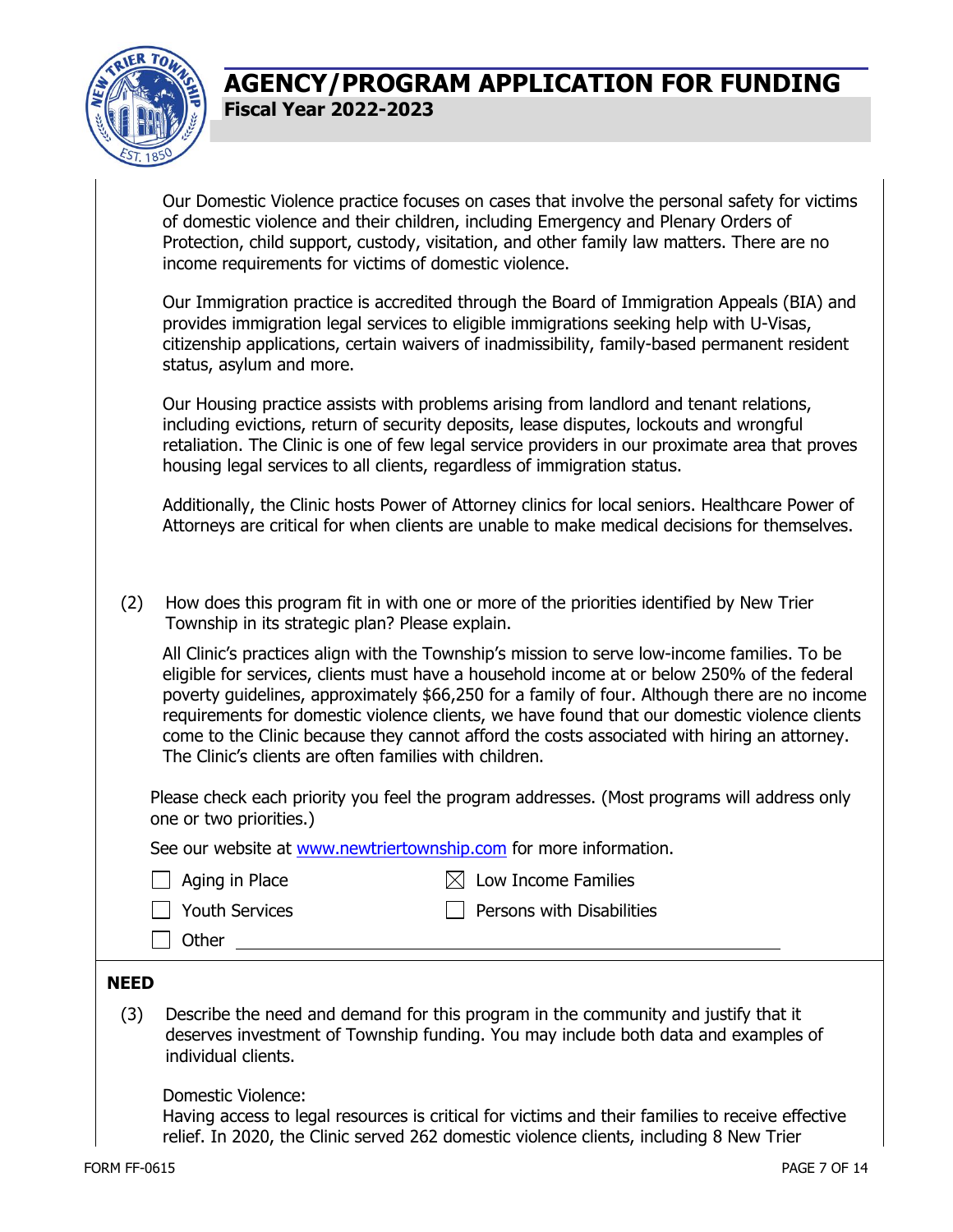

| Our Domestic Violence practice focuses on cases that involve the personal safety for victims |
|----------------------------------------------------------------------------------------------|
| of domestic violence and their children, including Emergency and Plenary Orders of           |
| Protection, child support, custody, visitation, and other family law matters. There are no   |
| income requirements for victims of domestic violence.                                        |

Our Immigration practice is accredited through the Board of Immigration Appeals (BIA) and provides immigration legal services to eligible immigrations seeking help with U-Visas, citizenship applications, certain waivers of inadmissibility, family-based permanent resident status, asylum and more.

Our Housing practice assists with problems arising from landlord and tenant relations, including evictions, return of security deposits, lease disputes, lockouts and wrongful retaliation. The Clinic is one of few legal service providers in our proximate area that proves housing legal services to all clients, regardless of immigration status.

Additionally, the Clinic hosts Power of Attorney clinics for local seniors. Healthcare Power of Attorneys are critical for when clients are unable to make medical decisions for themselves.

(2) How does this program fit in with one or more of the priorities identified by New Trier Township in its strategic plan? Please explain.

All Clinic's practices align with the Township's mission to serve low-income families. To be eligible for services, clients must have a household income at or below 250% of the federal poverty guidelines, approximately \$66,250 for a family of four. Although there are no income requirements for domestic violence clients, we have found that our domestic violence clients come to the Clinic because they cannot afford the costs associated with hiring an attorney. The Clinic's clients are often families with children.

Please check each priority you feel the program addresses. (Most programs will address only one or two priorities.)

See our website at [www.newtriertownship.com](http://www.newtriertownship.com/) for more information.

|  |  | Aging in Place |
|--|--|----------------|
|--|--|----------------|

 $\boxtimes$  Low Income Families

|  | <b>Youth Services</b> |
|--|-----------------------|
|  |                       |

□ Other

 $\Box$  Persons with Disabilities

# **NEED**

(3) Describe the need and demand for this program in the community and justify that it deserves investment of Township funding. You may include both data and examples of individual clients.

Domestic Violence:

Having access to legal resources is critical for victims and their families to receive effective relief. In 2020, the Clinic served 262 domestic violence clients, including 8 New Trier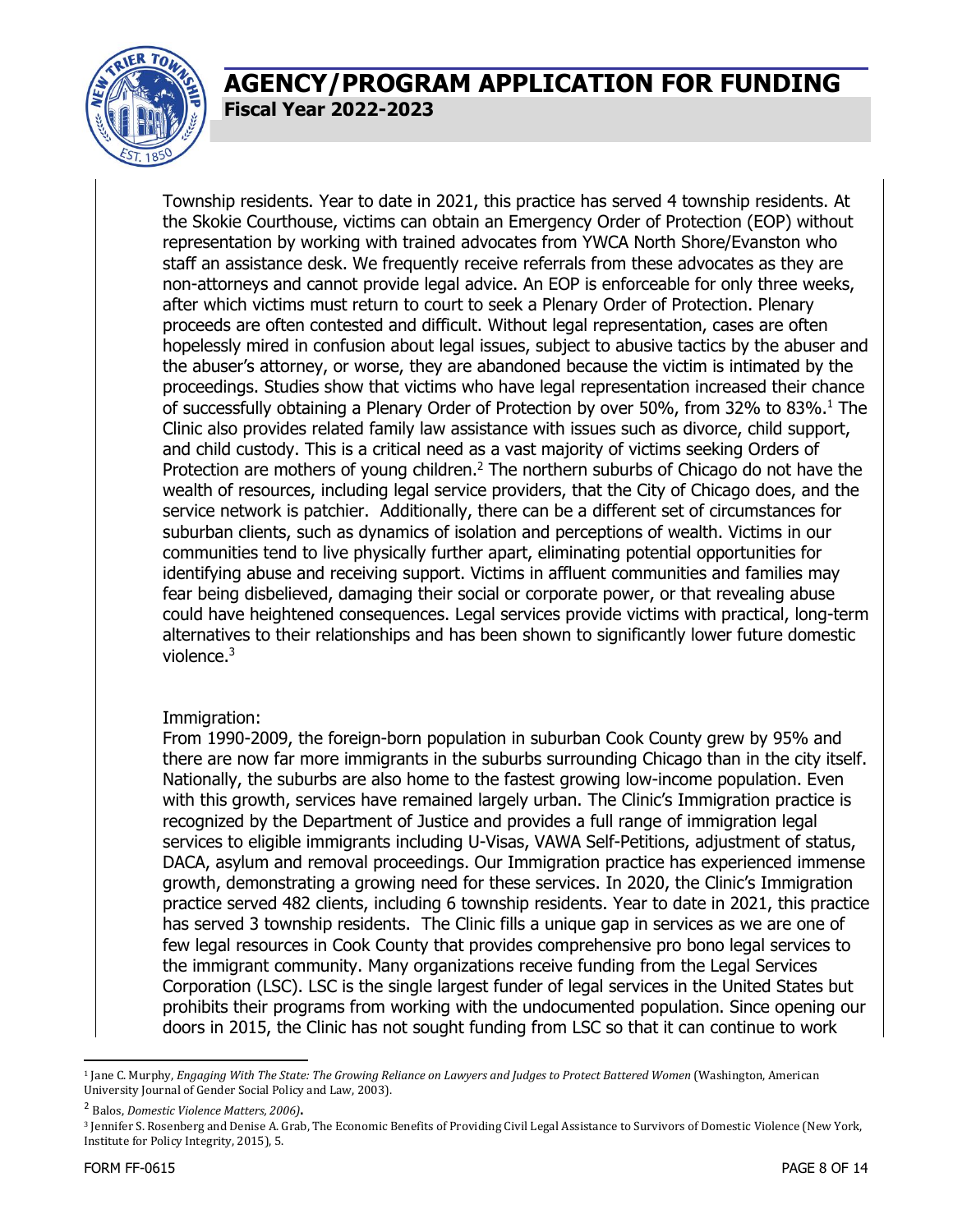

Township residents. Year to date in 2021, this practice has served 4 township residents. At the Skokie Courthouse, victims can obtain an Emergency Order of Protection (EOP) without representation by working with trained advocates from YWCA North Shore/Evanston who staff an assistance desk. We frequently receive referrals from these advocates as they are non-attorneys and cannot provide legal advice. An EOP is enforceable for only three weeks, after which victims must return to court to seek a Plenary Order of Protection. Plenary proceeds are often contested and difficult. Without legal representation, cases are often hopelessly mired in confusion about legal issues, subject to abusive tactics by the abuser and the abuser's attorney, or worse, they are abandoned because the victim is intimated by the proceedings. Studies show that victims who have legal representation increased their chance of successfully obtaining a Plenary Order of Protection by over 50%, from 32% to 83%.<sup>1</sup> The Clinic also provides related family law assistance with issues such as divorce, child support, and child custody. This is a critical need as a vast majority of victims seeking Orders of Protection are mothers of young children.<sup>2</sup> The northern suburbs of Chicago do not have the wealth of resources, including legal service providers, that the City of Chicago does, and the service network is patchier. Additionally, there can be a different set of circumstances for suburban clients, such as dynamics of isolation and perceptions of wealth. Victims in our communities tend to live physically further apart, eliminating potential opportunities for identifying abuse and receiving support. Victims in affluent communities and families may fear being disbelieved, damaging their social or corporate power, or that revealing abuse could have heightened consequences. Legal services provide victims with practical, long-term alternatives to their relationships and has been shown to significantly lower future domestic violence.<sup>3</sup>

#### Immigration:

From 1990-2009, the foreign-born population in suburban Cook County grew by 95% and there are now far more immigrants in the suburbs surrounding Chicago than in the city itself. Nationally, the suburbs are also home to the fastest growing low-income population. Even with this growth, services have remained largely urban. The Clinic's Immigration practice is recognized by the Department of Justice and provides a full range of immigration legal services to eligible immigrants including U-Visas, VAWA Self-Petitions, adjustment of status, DACA, asylum and removal proceedings. Our Immigration practice has experienced immense growth, demonstrating a growing need for these services. In 2020, the Clinic's Immigration practice served 482 clients, including 6 township residents. Year to date in 2021, this practice has served 3 township residents. The Clinic fills a unique gap in services as we are one of few legal resources in Cook County that provides comprehensive pro bono legal services to the immigrant community. Many organizations receive funding from the Legal Services Corporation (LSC). LSC is the single largest funder of legal services in the United States but prohibits their programs from working with the undocumented population. Since opening our doors in 2015, the Clinic has not sought funding from LSC so that it can continue to work

<sup>&</sup>lt;sup>1</sup> Jane C. Murphy, *Engaging With The State: The Growing Reliance on Lawyers and Judges to Protect Battered Women (Washington, American* University Journal of Gender Social Policy and Law, 2003).

<sup>2</sup> Balos, *Domestic Violence Matters, 2006)*.

<sup>&</sup>lt;sup>3</sup> Jennifer S. Rosenberg and Denise A. Grab, The Economic Benefits of Providing Civil Legal Assistance to Survivors of Domestic Violence (New York, Institute for Policy Integrity, 2015), 5.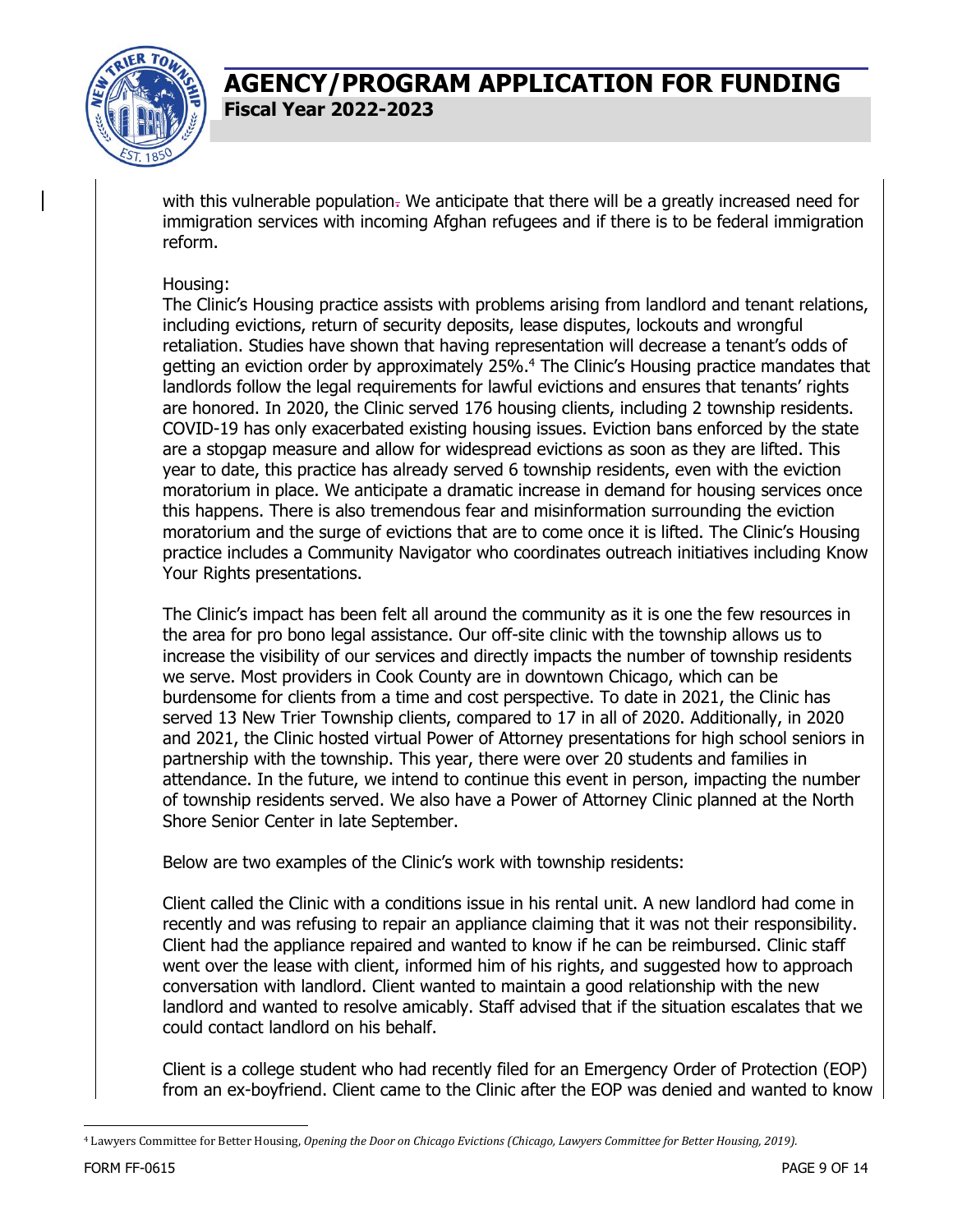

with this vulnerable population. We anticipate that there will be a greatly increased need for immigration services with incoming Afghan refugees and if there is to be federal immigration reform.

#### Housing:

The Clinic's Housing practice assists with problems arising from landlord and tenant relations, including evictions, return of security deposits, lease disputes, lockouts and wrongful retaliation. Studies have shown that having representation will decrease a tenant's odds of getting an eviction order by approximately 25%.<sup>4</sup> The Clinic's Housing practice mandates that landlords follow the legal requirements for lawful evictions and ensures that tenants' rights are honored. In 2020, the Clinic served 176 housing clients, including 2 township residents. COVID-19 has only exacerbated existing housing issues. Eviction bans enforced by the state are a stopgap measure and allow for widespread evictions as soon as they are lifted. This year to date, this practice has already served 6 township residents, even with the eviction moratorium in place. We anticipate a dramatic increase in demand for housing services once this happens. There is also tremendous fear and misinformation surrounding the eviction moratorium and the surge of evictions that are to come once it is lifted. The Clinic's Housing practice includes a Community Navigator who coordinates outreach initiatives including Know Your Rights presentations.

The Clinic's impact has been felt all around the community as it is one the few resources in the area for pro bono legal assistance. Our off-site clinic with the township allows us to increase the visibility of our services and directly impacts the number of township residents we serve. Most providers in Cook County are in downtown Chicago, which can be burdensome for clients from a time and cost perspective. To date in 2021, the Clinic has served 13 New Trier Township clients, compared to 17 in all of 2020. Additionally, in 2020 and 2021, the Clinic hosted virtual Power of Attorney presentations for high school seniors in partnership with the township. This year, there were over 20 students and families in attendance. In the future, we intend to continue this event in person, impacting the number of township residents served. We also have a Power of Attorney Clinic planned at the North Shore Senior Center in late September.

Below are two examples of the Clinic's work with township residents:

Client called the Clinic with a conditions issue in his rental unit. A new landlord had come in recently and was refusing to repair an appliance claiming that it was not their responsibility. Client had the appliance repaired and wanted to know if he can be reimbursed. Clinic staff went over the lease with client, informed him of his rights, and suggested how to approach conversation with landlord. Client wanted to maintain a good relationship with the new landlord and wanted to resolve amicably. Staff advised that if the situation escalates that we could contact landlord on his behalf.

Client is a college student who had recently filed for an Emergency Order of Protection (EOP) from an ex-boyfriend. Client came to the Clinic after the EOP was denied and wanted to know

<sup>4</sup> Lawyers Committee for Better Housing, *Opening the Door on Chicago Evictions (Chicago, Lawyers Committee for Better Housing, 2019).*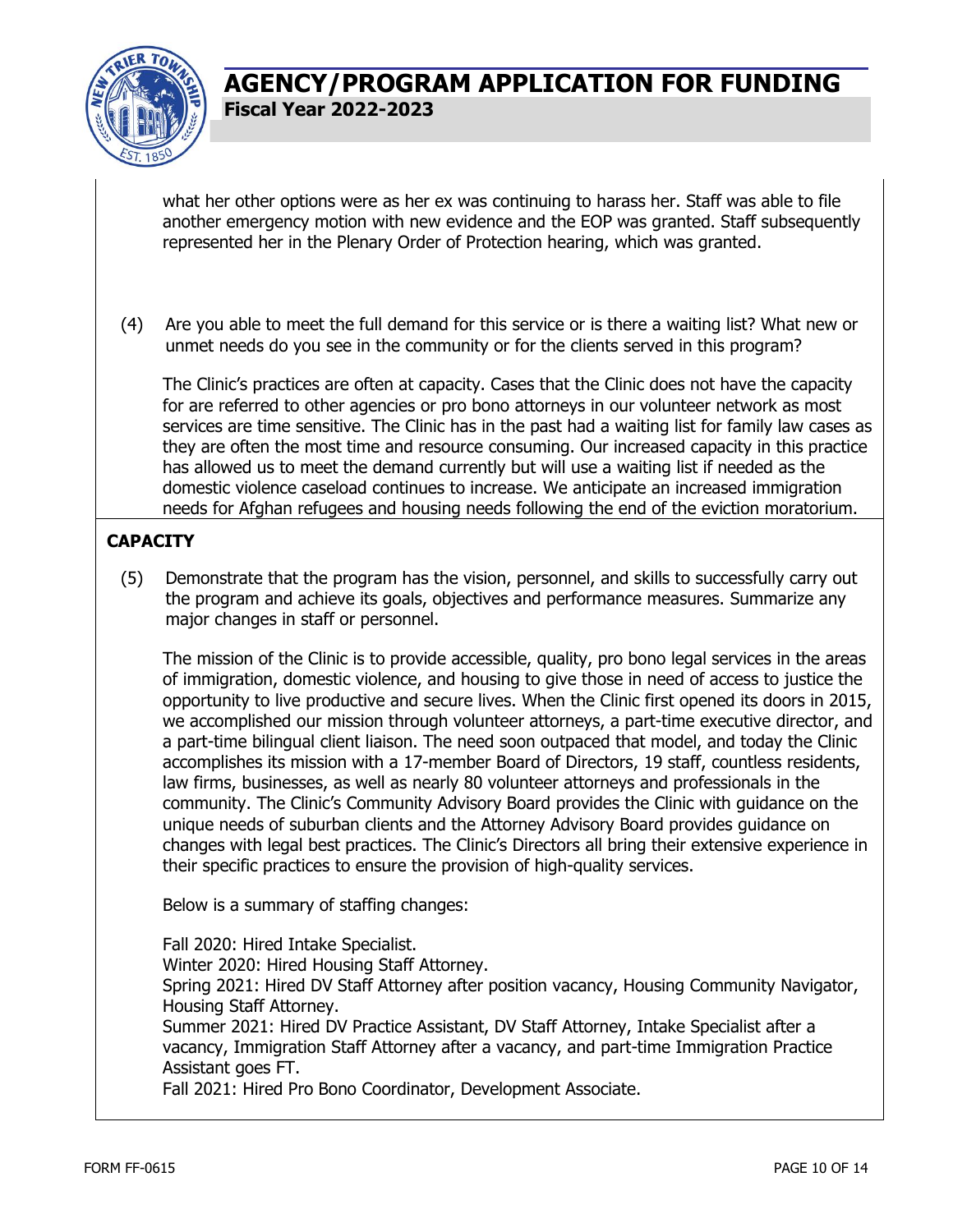

what her other options were as her ex was continuing to harass her. Staff was able to file another emergency motion with new evidence and the EOP was granted. Staff subsequently represented her in the Plenary Order of Protection hearing, which was granted.

(4) Are you able to meet the full demand for this service or is there a waiting list? What new or unmet needs do you see in the community or for the clients served in this program?

The Clinic's practices are often at capacity. Cases that the Clinic does not have the capacity for are referred to other agencies or pro bono attorneys in our volunteer network as most services are time sensitive. The Clinic has in the past had a waiting list for family law cases as they are often the most time and resource consuming. Our increased capacity in this practice has allowed us to meet the demand currently but will use a waiting list if needed as the domestic violence caseload continues to increase. We anticipate an increased immigration needs for Afghan refugees and housing needs following the end of the eviction moratorium.

#### **CAPACITY**

(5) Demonstrate that the program has the vision, personnel, and skills to successfully carry out the program and achieve its goals, objectives and performance measures. Summarize any major changes in staff or personnel.

The mission of the Clinic is to provide accessible, quality, pro bono legal services in the areas of immigration, domestic violence, and housing to give those in need of access to justice the opportunity to live productive and secure lives. When the Clinic first opened its doors in 2015, we accomplished our mission through volunteer attorneys, a part-time executive director, and a part-time bilingual client liaison. The need soon outpaced that model, and today the Clinic accomplishes its mission with a 17-member Board of Directors, 19 staff, countless residents, law firms, businesses, as well as nearly 80 volunteer attorneys and professionals in the community. The Clinic's Community Advisory Board provides the Clinic with guidance on the unique needs of suburban clients and the Attorney Advisory Board provides guidance on changes with legal best practices. The Clinic's Directors all bring their extensive experience in their specific practices to ensure the provision of high-quality services.

Below is a summary of staffing changes:

Fall 2020: Hired Intake Specialist. Winter 2020: Hired Housing Staff Attorney. Spring 2021: Hired DV Staff Attorney after position vacancy, Housing Community Navigator, Housing Staff Attorney. Summer 2021: Hired DV Practice Assistant, DV Staff Attorney, Intake Specialist after a vacancy, Immigration Staff Attorney after a vacancy, and part-time Immigration Practice Assistant goes FT.

Fall 2021: Hired Pro Bono Coordinator, Development Associate.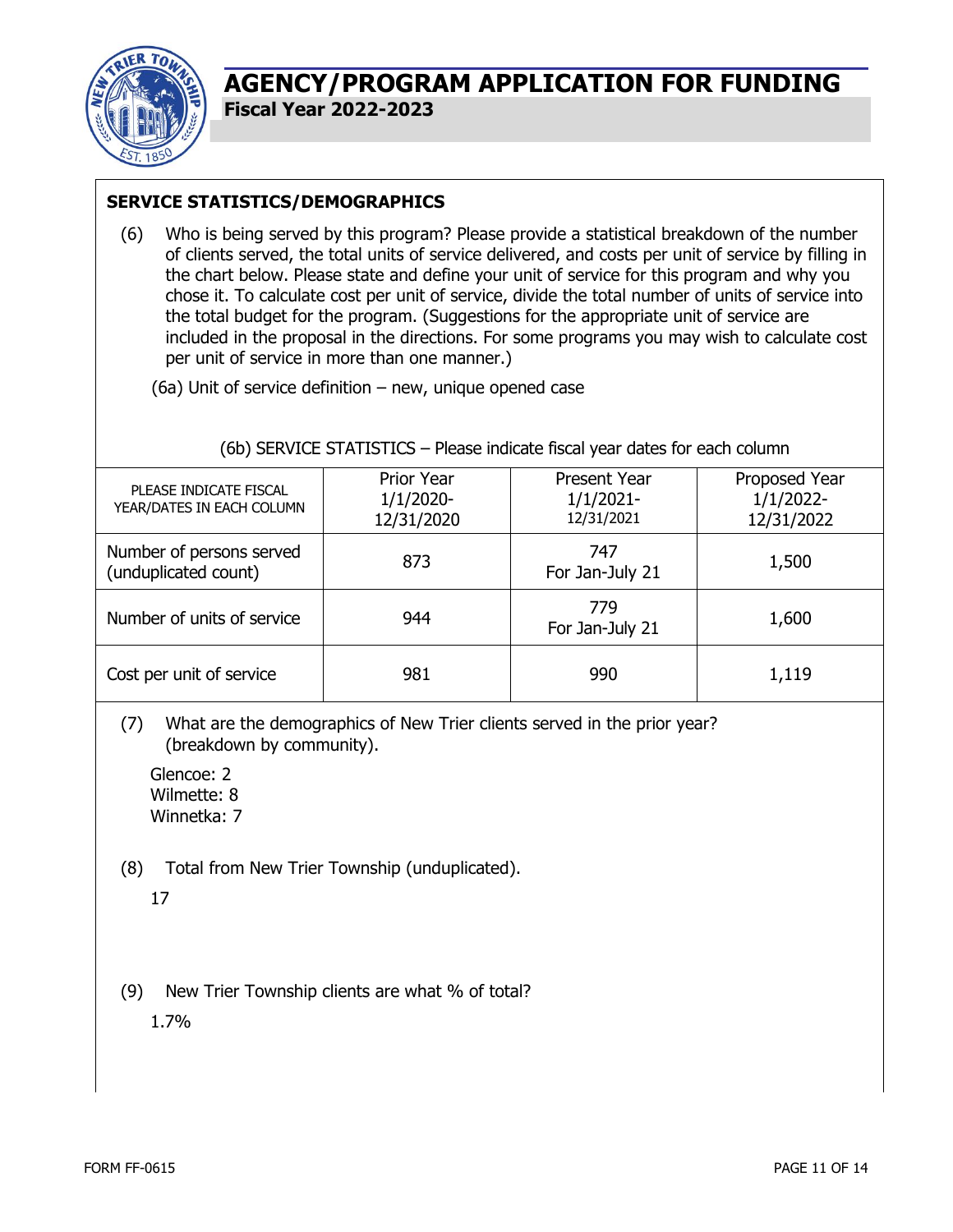

### **SERVICE STATISTICS/DEMOGRAPHICS**

(6) Who is being served by this program? Please provide a statistical breakdown of the number of clients served, the total units of service delivered, and costs per unit of service by filling in the chart below. Please state and define your unit of service for this program and why you chose it. To calculate cost per unit of service, divide the total number of units of service into the total budget for the program. (Suggestions for the appropriate unit of service are included in the proposal in the directions. For some programs you may wish to calculate cost per unit of service in more than one manner.)

(6a) Unit of service definition – new, unique opened case

#### (6b) SERVICE STATISTICS – Please indicate fiscal year dates for each column

| PLEASE INDICATE FISCAL<br>YEAR/DATES IN EACH COLUMN | Prior Year<br>$1/1/2020$ -<br>12/31/2020 | <b>Present Year</b><br>$1/1/2021 -$<br>12/31/2021 | Proposed Year<br>$1/1/2022$ -<br>12/31/2022 |
|-----------------------------------------------------|------------------------------------------|---------------------------------------------------|---------------------------------------------|
| Number of persons served<br>(unduplicated count)    | 873                                      | 747<br>For Jan-July 21                            | 1,500                                       |
| Number of units of service                          | 944                                      | 779<br>For Jan-July 21                            | 1,600                                       |
| Cost per unit of service                            | 981                                      | 990                                               | 1,119                                       |

(7) What are the demographics of New Trier clients served in the prior year? (breakdown by community).

Glencoe: 2 Wilmette: 8 Winnetka: 7

(8) Total from New Trier Township (unduplicated).

17

(9) New Trier Township clients are what % of total?

1.7%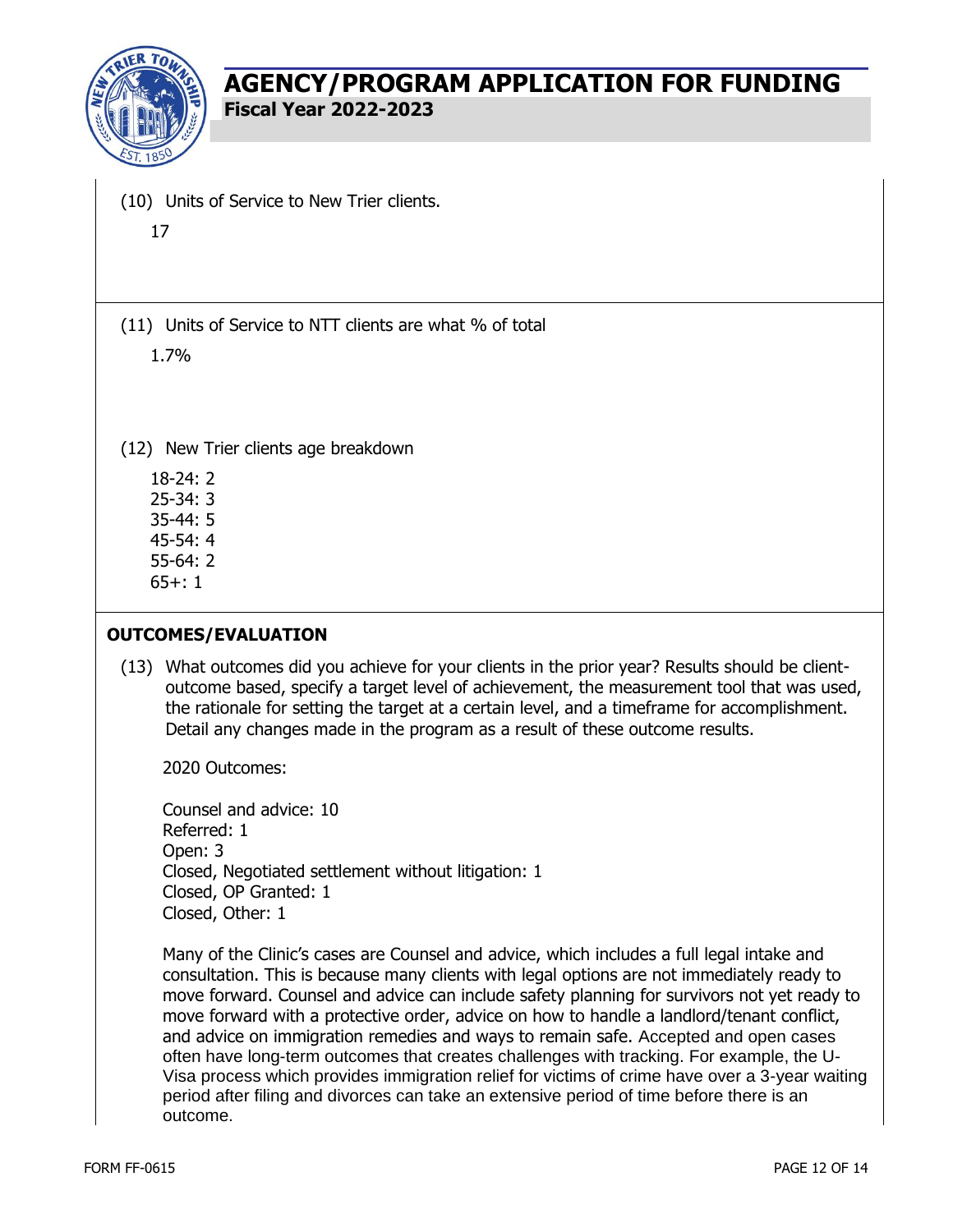

- (10) Units of Service to New Trier clients.
	- 17

(11) Units of Service to NTT clients are what % of total

1.7%

(12) New Trier clients age breakdown

18-24: 2 25-34: 3 35-44: 5 45-54: 4

55-64: 2

65+: 1

### **OUTCOMES/EVALUATION**

(13) What outcomes did you achieve for your clients in the prior year? Results should be clientoutcome based, specify a target level of achievement, the measurement tool that was used, the rationale for setting the target at a certain level, and a timeframe for accomplishment. Detail any changes made in the program as a result of these outcome results.

2020 Outcomes:

Counsel and advice: 10 Referred: 1 Open: 3 Closed, Negotiated settlement without litigation: 1 Closed, OP Granted: 1 Closed, Other: 1

Many of the Clinic's cases are Counsel and advice, which includes a full legal intake and consultation. This is because many clients with legal options are not immediately ready to move forward. Counsel and advice can include safety planning for survivors not yet ready to move forward with a protective order, advice on how to handle a landlord/tenant conflict, and advice on immigration remedies and ways to remain safe. Accepted and open cases often have long-term outcomes that creates challenges with tracking. For example, the U-Visa process which provides immigration relief for victims of crime have over a 3-year waiting period after filing and divorces can take an extensive period of time before there is an outcome.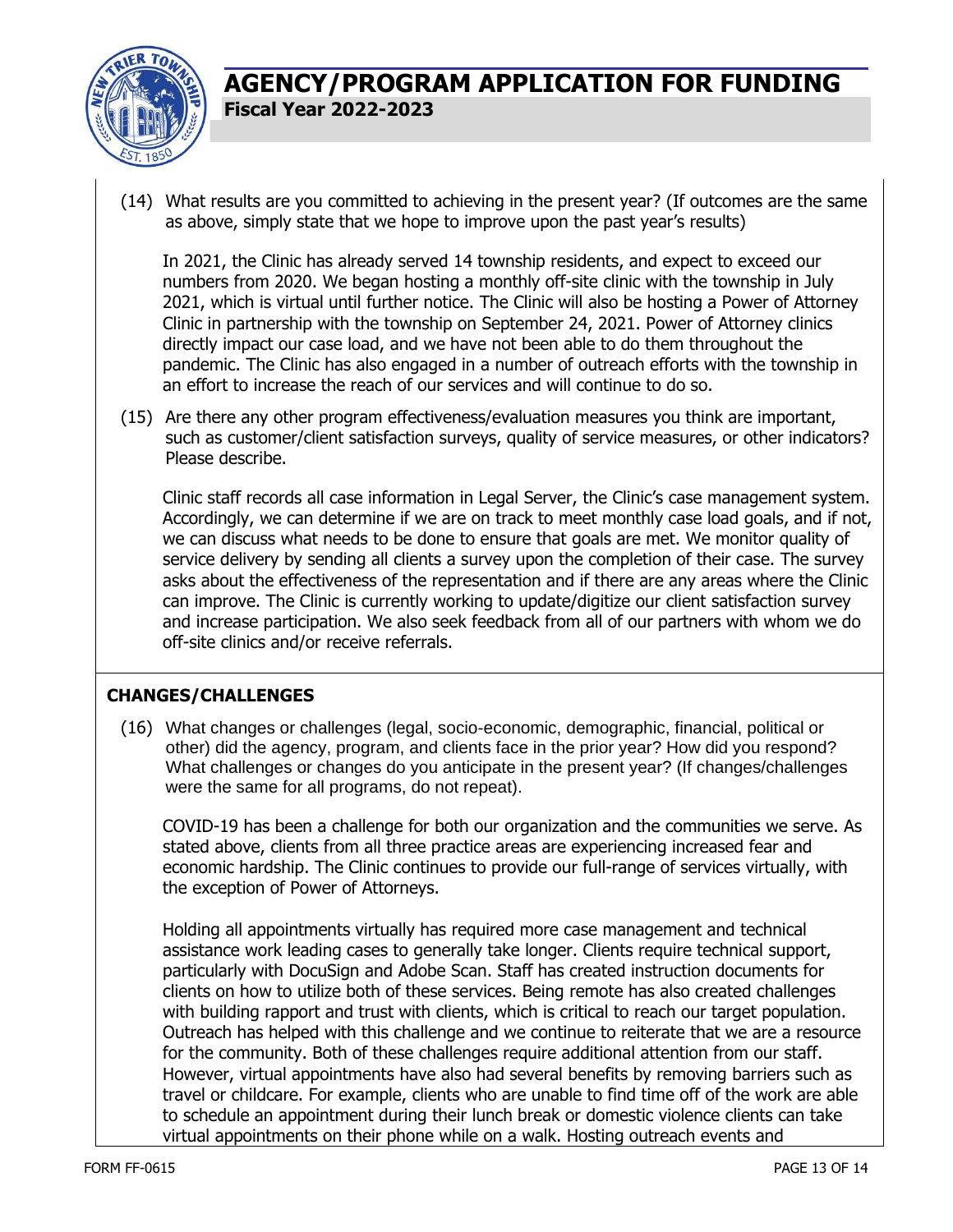

(14) What results are you committed to achieving in the present year? (If outcomes are the same as above, simply state that we hope to improve upon the past year's results)

In 2021, the Clinic has already served 14 township residents, and expect to exceed our numbers from 2020. We began hosting a monthly off-site clinic with the township in July 2021, which is virtual until further notice. The Clinic will also be hosting a Power of Attorney Clinic in partnership with the township on September 24, 2021. Power of Attorney clinics directly impact our case load, and we have not been able to do them throughout the pandemic. The Clinic has also engaged in a number of outreach efforts with the township in an effort to increase the reach of our services and will continue to do so.

(15) Are there any other program effectiveness/evaluation measures you think are important, such as customer/client satisfaction surveys, quality of service measures, or other indicators? Please describe.

Clinic staff records all case information in Legal Server, the Clinic's case management system. Accordingly, we can determine if we are on track to meet monthly case load goals, and if not, we can discuss what needs to be done to ensure that goals are met. We monitor quality of service delivery by sending all clients a survey upon the completion of their case. The survey asks about the effectiveness of the representation and if there are any areas where the Clinic can improve. The Clinic is currently working to update/digitize our client satisfaction survey and increase participation. We also seek feedback from all of our partners with whom we do off-site clinics and/or receive referrals.

#### **CHANGES/CHALLENGES**

(16) What changes or challenges (legal, socio-economic, demographic, financial, political or other) did the agency, program, and clients face in the prior year? How did you respond? What challenges or changes do you anticipate in the present year? (If changes/challenges were the same for all programs, do not repeat).

COVID-19 has been a challenge for both our organization and the communities we serve. As stated above, clients from all three practice areas are experiencing increased fear and economic hardship. The Clinic continues to provide our full-range of services virtually, with the exception of Power of Attorneys.

Holding all appointments virtually has required more case management and technical assistance work leading cases to generally take longer. Clients require technical support, particularly with DocuSign and Adobe Scan. Staff has created instruction documents for clients on how to utilize both of these services. Being remote has also created challenges with building rapport and trust with clients, which is critical to reach our target population. Outreach has helped with this challenge and we continue to reiterate that we are a resource for the community. Both of these challenges require additional attention from our staff. However, virtual appointments have also had several benefits by removing barriers such as travel or childcare. For example, clients who are unable to find time off of the work are able to schedule an appointment during their lunch break or domestic violence clients can take virtual appointments on their phone while on a walk. Hosting outreach events and